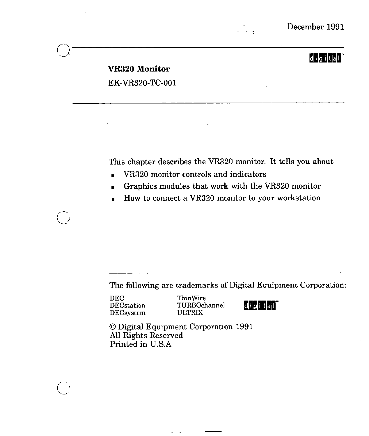

## digital<sup>'</sup>

# **VR320 Monitor**  EK-VR320-TC-001

This chapter describes the VR320 monitor. It tells you about

- VR320 monitor controls and indicators
- Graphics modules that work with the VR320 monitor
- How to connect a VR320 monitor to your workstation

The following are trademarks of Digital Equipment Corporation:

DEC Thin Wire<br>DECstation TURBOch DECsystem

 $\bigodot$ 

TURBOchannel **diglial**"<br>ULTRIX

© Digital Equipment Corporation 1991 All Rights Reserved Printed in U.S.A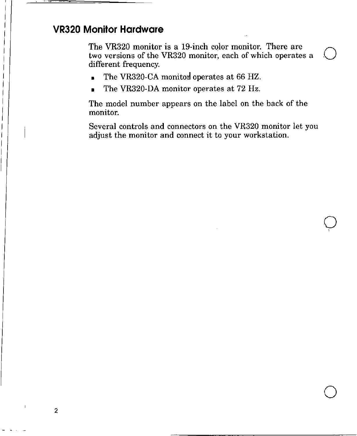## **VR320 Monitor Hardware**

 $\mathbf{I}$  $\vert$  $\vert$  $\vert$ I I  $\mathbf{I}$ 

The VR320 monitor is a 19-inch color monitor. There are two versions of the VR320 monitor, each of which operates a  $\bigcup$ different frequency.

- The VR320-CA monitor operates at 66 HZ.
- The VR320-DA monitor operates at 72 Hz.

The model number appears on the label on the back of the monitor.

Several controls and connectors on the VR320 monitor let you adjust the monitor and connect it to your workstation.

> $\overline{O}$ '

> $\bigcirc$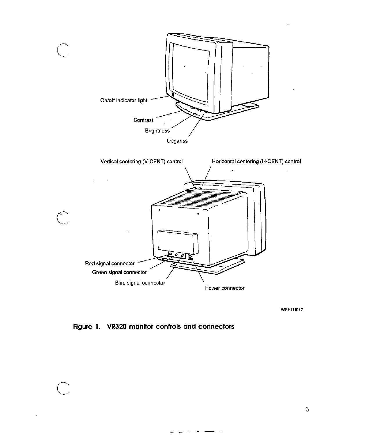

WSETU017

Figure l. VR320 monitor controls and connectors

 $-$ 

 $\bigcirc$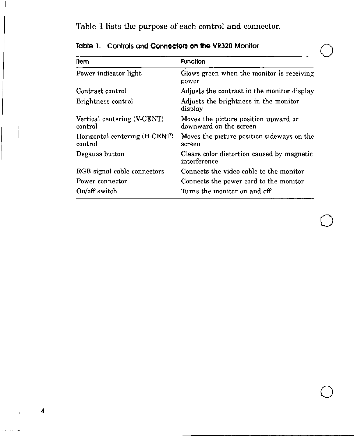Table 1 lists the purpose of each control and connector.

| llem                                     | <b>Function</b>                                                |
|------------------------------------------|----------------------------------------------------------------|
| Power indicator light                    | Glows green when the monitor is receiving<br>power             |
| Contrast control                         | Adjusts the contrast in the monitor display                    |
| Brightness control                       | Adjusts the brightness in the monitor<br>display               |
| Vertical centering (V-CENT)<br>control   | Moves the picture position upward or<br>downward on the screen |
| Horizontal centering (H-CENT)<br>control | Moves the picture position sideways on the<br>screen           |
| Degauss button                           | Clears color distortion caused by magnetic<br>interference     |
| RGB signal cable connectors              | Connects the video cable to the monitor                        |
| Power connector                          | Connects the power cord to the monitor                         |
| On/off switch                            | Turns the monitor on and off                                   |

 $\bigcirc$ 

 $\bigcirc$ 

Table 1. Controls and Connectors on the VR320 Monitor

4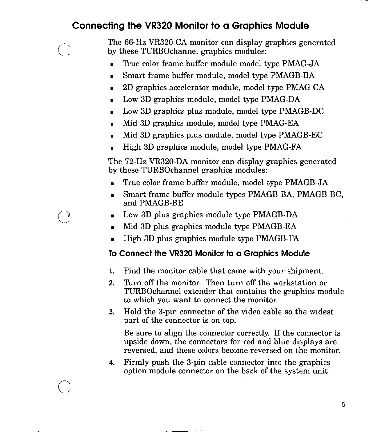## **Connecting the VR320 Monitor to a Graphics Module**

The 66-Hz VR320-CA monitor can display graphics generated by these TURBOchannel graphics modules:

- True color frame buffer module model type PMAG-JA
- Smart frame buffer module, model type PMAGB-BA
- 2D graphics accelerator module, model type PMAG-CA
- Low 3D graphics module, model type PMAG-DA
- Low 3D graphics plus module, model type PMAGB-DC
- Mid 3D graphics module, model type PMAG-EA
- Mid 3D graphics plus module, model type PMAGB-EC
- High 3D graphics module, model type PMAG-FA

The 72-Hz VR320-DA monitor can display graphics generated by these TURBOchannel graphics modules:

- True color frame buffer module, model type PMAGB-JA
- Smart frame buffer module types PMAGB-BA, PMAGB-BC, and PMAGB-BE
- Low 3D plus graphics module type PMAGB-DA
- Mid 3D plus graphics module type PMAGB-EA
- High 3D plus graphics module type PMAGB-FA

### **To Connect the VR320 Monitor to a Graphics Module**

- 1. Find the monitor cable that came with your shipment.
- **2.** Turn off the monitor. Then turn off the workstation or TURBOchannel extender that contains the graphics module to which you want to connect the monitor.
- **3.** Hold the 3-pin connector of the video cable so the widest part of the connector is on top.

Be sure to align the connector correctly. If the connector is upside down, the connectors for red and blue displays are reversed, and these colors become reversed on the monitor.

**4.** Firmly push the 3-pin cable connector into the graphics option module connector on the \_back of the system unit.

 $\frac{1}{2}$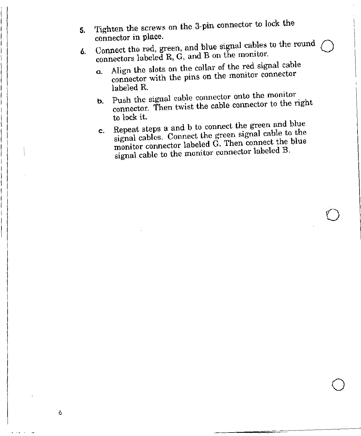- 5. Tighten the screws on the 3-pin connector to lock the connector in place.
- 6. Connect the red, green, and blue signal cables to the round connectors labeled R, G, and B on the monitor.
	- a. Align the slots on the collar of the red signal cable connector with the pins on the monitor connector labeled R.
	- b. Push the signal cable connector onto the monitor connector. Then twist the cable connector to the right to lock it.
	- c. Repeat steps a and b to connect the green and blue signal cables. Connect the green signal cable to the monitor connector labeled G. Then connect the blue signal cable to the monitor connector labeled B.

 $\bigcirc$ 

 $\bigcirc$ 

6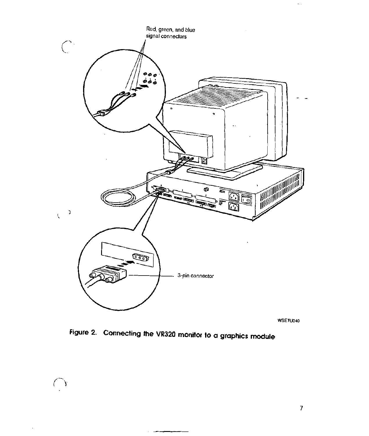

WSETU040

**Figure 2. Connecting the VR320 monitor to a graphics module** 

 $\overline{\phantom{a}}$